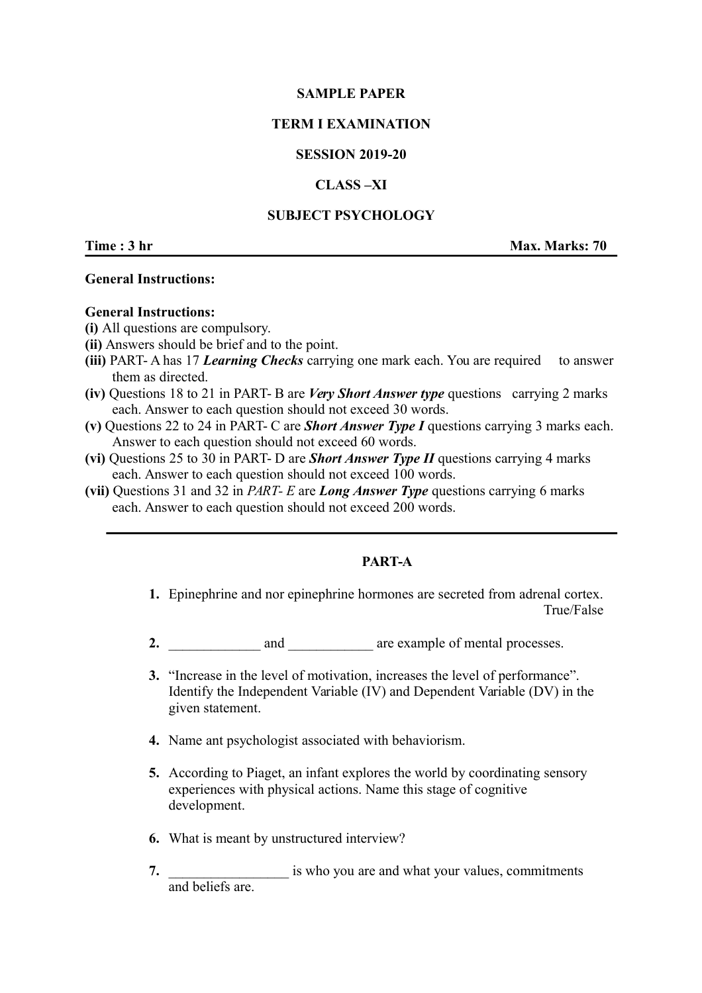## **SAMPLE PAPER**

# **TERM I EXAMINATION**

## **SESSION 2019-20**

## **CLASS –XI**

## **SUBJECT PSYCHOLOGY**

**Time : 3 hr Max. Marks: 70** 

### **General Instructions:**

### **General Instructions:**

- **(i)** All questions are compulsory.
- **(ii)** Answers should be brief and to the point.
- **(iii)** PART- A has 17 *Learning Checks* carrying one mark each. You are required to answer them as directed.
- **(iv)** Questions 18 to 21 in PART- B are *Very Short Answer type* questions carrying 2 marks each. Answer to each question should not exceed 30 words.
- **(v)** Questions 22 to 24 in PART- C are *Short Answer Type I* questions carrying 3 marks each. Answer to each question should not exceed 60 words.
- **(vi)** Questions 25 to 30 in PART- D are *Short Answer Type II* questions carrying 4 marks each. Answer to each question should not exceed 100 words.
- **(vii)** Questions 31 and 32 in *PART- E* are *Long Answer Type* questions carrying 6 marks each. Answer to each question should not exceed 200 words.

# **PART-A**

- **1.** Epinephrine and nor epinephrine hormones are secreted from adrenal cortex. True/False
- 2. and  $\qquad \qquad$  are example of mental processes.
- **3.** "Increase in the level of motivation, increases the level of performance". Identify the Independent Variable (IV) and Dependent Variable (DV) in the given statement.
- **4.** Name ant psychologist associated with behaviorism.
- **5.** According to Piaget, an infant explores the world by coordinating sensory experiences with physical actions. Name this stage of cognitive development.
- **6.** What is meant by unstructured interview?
- **7. 1.** is who you are and what your values, commitments and beliefs are.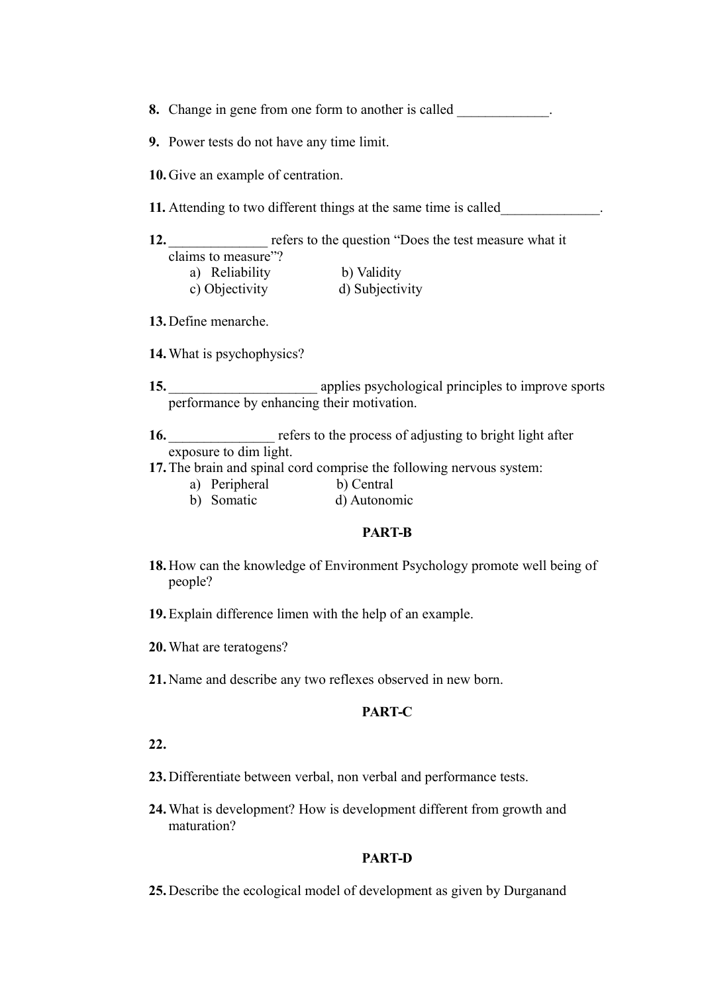- **8.** Change in gene from one form to another is called
- **9.** Power tests do not have any time limit.
- **10.**Give an example of centration.
- **11.** Attending to two different things at the same time is called

| refers to the question "Does the test measure what it |
|-------------------------------------------------------|
|                                                       |
|                                                       |
|                                                       |

- c) Objectivity d) Subjectivity
- **13.**Define menarche.
- **14.**What is psychophysics?
- 15. **15.** applies psychological principles to improve sports performance by enhancing their motivation.

16. **16.** The refers to the process of adjusting to bright light after exposure to dim light.

- **17.**The brain and spinal cord comprise the following nervous system:
	- a) Peripheral b) Central
	- b) Somatic d) Autonomic

#### **PART-B**

- **18.** How can the knowledge of Environment Psychology promote well being of people?
- **19.**Explain difference limen with the help of an example.
- **20.**What are teratogens?
- **21.** Name and describe any two reflexes observed in new born.

#### **PART-C**

**22.**

- **23.** Differentiate between verbal, non verbal and performance tests.
- **24.**What is development? How is development different from growth and maturation?

#### **PART-D**

**25.** Describe the ecological model of development as given by Durganand